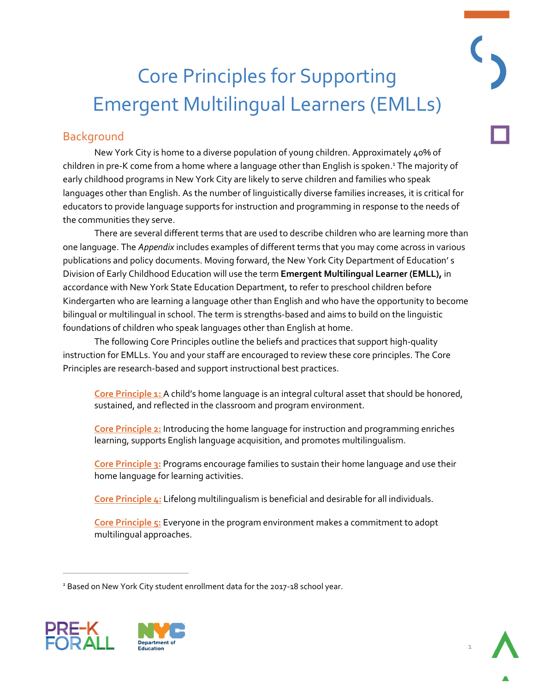# Core Principles for Supporting Emergent Multilingual Learners (EMLLs)

# **Background**

New York City is home to a diverse population of young children. Approximately 40% of children in pre-K come from a home where a language other than English is spoken.<sup>1</sup> The majority of early childhood programs in New York City are likely to serve children and families who speak languages other than English. As the number of linguistically diverse families increases, it is critical for educators to provide language supports for instruction and programming in response to the needs of the communities they serve.

There are several different terms that are used to describe children who are learning more than one language. The *Appendix* includes examples of different terms that you may come across in various publications and policy documents. Moving forward, the New York City Department of Education' s Division of Early Childhood Education will use the term **Emergent Multilingual Learner (EMLL),** in accordance with New York State Education Department, to refer to preschool children before Kindergarten who are learning a language other than English and who have the opportunity to become bilingual or multilingual in school. The term is strengths-based and aims to build on the linguistic foundations of children who speak languages other than English at home.

The following Core Principles outline the beliefs and practices that support high-quality instruction for EMLLs. You and your staff are encouraged to review these core principles. The Core Principles are research-based and support instructional best practices.

**[Core Principle 1:](#page-1-0)** A child's home language is an integral cultural asset that should be honored, sustained, and reflected in the classroom and program environment.

 learning, supports English language acquisition, and promotes multilingualism. **[Core Principle 2:](#page-1-1)** Introducing the home language for instruction and programming enriches

 **[Core Principle 3:](#page-5-0)** Programs encourage families to sustain their home language and use their home language for learning activities.

**[Core Principle 4:](#page-6-0)** Lifelong multilingualism is beneficial and desirable for all individuals.

**[Core Principle 5:](#page-6-1)** Everyone in the program environment makes a commitment to adopt multilingual approaches.

<sup>&</sup>lt;sup>1</sup> Based on New York City student enrollment data for the 2017-18 school year.



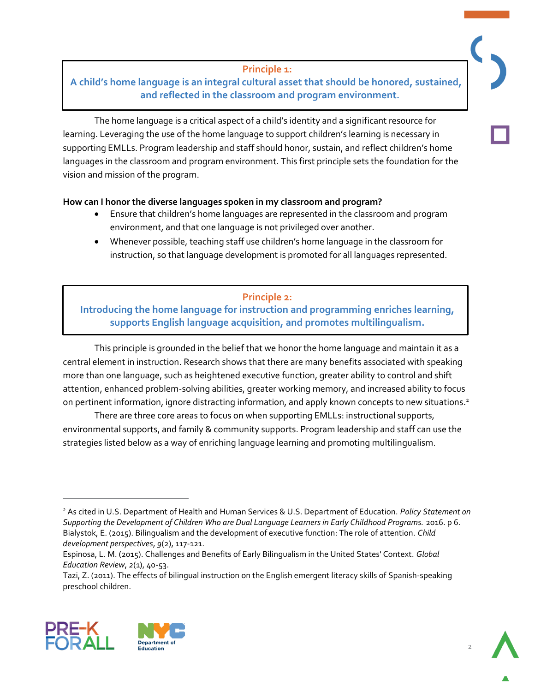#### **Principle 1:**

#### <span id="page-1-0"></span>**A child's home language is an integral cultural asset that should be honored, sustained, and reflected in the classroom and program environment.**

 $\ddot{\phantom{0}}$  supporting EMLLs. Program leadership and staff should honor, sustain, and reflect children's home languages in the classroom and program environment. This first principle sets the foundation for the vision and mission of the program. The home language is a critical aspect of a child's identity and a significant resource for learning. Leveraging the use of the home language to support children's learning is necessary in

#### **How can I honor the diverse languages spoken in my classroom and program?**

- Ensure that children's home languages are represented in the classroom and program environment, and that one language is not privileged over another.
- Whenever possible, teaching staff use children's home language in the classroom for instruction, so that language development is promoted for all languages represented.

#### **Principle 2:**

#### <span id="page-1-1"></span> **Introducing the home language for instruction and programming enriches learning, supports English language acquisition, and promotes multilingualism.**

j attention, enhanced problem-solving abilities, greater working memory, and increased ability to focus on pertinent information, ignore distracting information, and apply known concepts to new situations. 2 This principle is grounded in the belief that we honor the home language and maintain it as a central element in instruction. Research shows that there are many benefits associated with speaking more than one language, such as heightened executive function, greater ability to control and shift

 strategies listed below as a way of enriching language learning and promoting multilingualism. There are three core areas to focus on when supporting EMLLs: instructional supports, environmental supports, and family & community supports. Program leadership and staff can use the

 Tazi, Z. (2011). The effects of bilingual instruction on the English emergent literacy skills of Spanish-speaking preschool children.







 Bialystok, E. (2015). Bilingualism and the development of executive function: The role of attention. *Child 2* As cited in U.S. Department of Health and Human Services & U.S. Department of Education. *Policy Statement on Supporting the Development of Children Who are Dual Language Learners in Early Childhood Programs.* 2016. p 6. *development perspectives*, *9*(2), 117-121.

 Espinosa, L. M. (2015). Challenges and Benefits of Early Bilingualism in the United States' Context. *Global Education Review*, *2*(1), 40-53.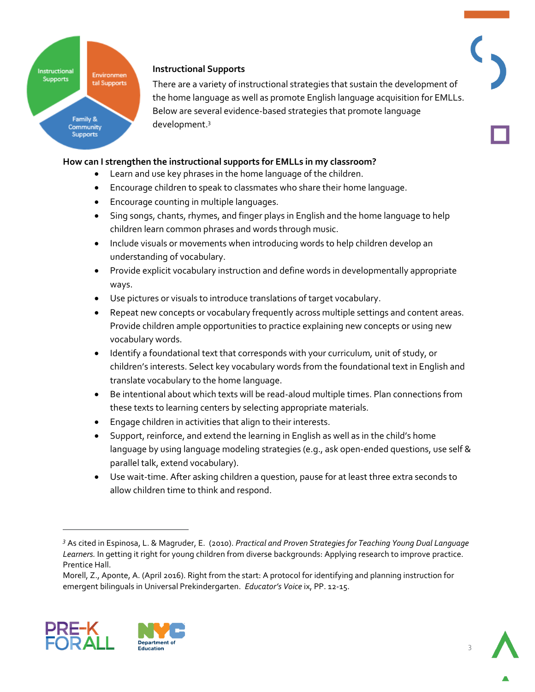# Instructional Environmen **Supports** tal Supports Family & Community **Supports**

#### **Instructional Supports**

There are a variety of instructional strategies that sustain the development of the home language as well as promote English language acquisition for EMLLs. Below are several evidence-based strategies that promote language development. 3

#### **How can I strengthen the instructional supports for EMLLs in my classroom?**

- Learn and use key phrases in the home language of the children.
- Encourage children to speak to classmates who share their home language.
- Encourage counting in multiple languages.
- Sing songs, chants, rhymes, and finger plays in English and the home language to help children learn common phrases and words through music.
- Include visuals or movements when introducing words to help children develop an understanding of vocabulary.
- Provide explicit vocabulary instruction and define words in developmentally appropriate ways.
- Use pictures or visuals to introduce translations of target vocabulary.
- Repeat new concepts or vocabulary frequently across multiple settings and content areas. Provide children ample opportunities to practice explaining new concepts or using new vocabulary words.
- Identify a foundational text that corresponds with your curriculum*,* unit of study, or children's interests. Select key vocabulary words from the foundational text in English and translate vocabulary to the home language.
- Be intentional about which texts will be read-aloud multiple times. Plan connections from these texts to learning centers by selecting appropriate materials.
- Engage children in activities that align to their interests.
- Support, reinforce, and extend the learning in English as well as in the child's home language by using language modeling strategies (e.g., ask open-ended questions, use self & parallel talk, extend vocabulary).
- Use wait-time. After asking children a question, pause for at least three extra seconds to allow children time to think and respond.

 Morell, Z., Aponte, A. (April 2016). Right from the start: A protocol for identifying and planning instruction for emergent bilinguals in Universal Prekindergarten. *Educator's Voice* ix, PP. 12-15.



j

 *Learners.* In getting it right for young children from diverse backgrounds: Applying research to improve practice. *<sup>3</sup>*As cited in Espinosa, L. & Magruder, E. (2010). *Practical and Proven Strategies for Teaching Young Dual Language*  Prentice Hall.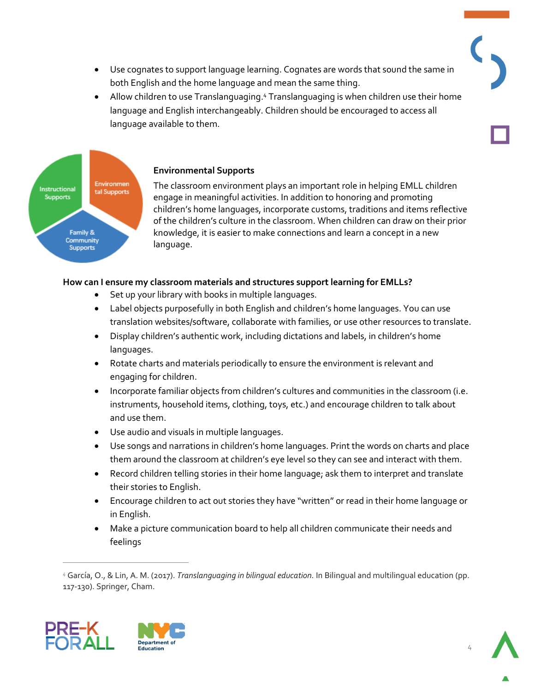- Use cognates to support language learning. Cognates are words that sound the same in both English and the home language and mean the same thing.
- language and English interchangeably. Children should be encouraged to access all • Allow children to use Translanguaging.<sup>4</sup> Translanguaging is when children use their home language available to them.



#### **Environmental Supports**

 The classroom environment plays an important role in helping EMLL children Ì knowledge, it is easier to make connections and learn a concept in a new engage in meaningful activities. In addition to honoring and promoting children's home languages, incorporate customs, traditions and items reflective of the children's culture in the classroom. When children can draw on their prior language.

#### **How can I ensure my classroom materials and structures support learning for EMLLs?**

- Set up your library with books in multiple languages.
- j Label objects purposefully in both English and children's home languages. You can use translation websites/software, collaborate with families, or use other resources to translate.
- Display children's authentic work, including dictations and labels, in children's home languages.
- Rotate charts and materials periodically to ensure the environment is relevant and engaging for children.
- **Incorporate familiar objects from children's cultures and communities in the classroom (i.e.** instruments, household items, clothing, toys, etc.) and encourage children to talk about and use them.
- Use audio and visuals in multiple languages.
- Í Use songs and narrations in children's home languages. Print the words on charts and place them around the classroom at children's eye level so they can see and interact with them.
- Record children telling stories in their home language; ask them to interpret and translate their stories to English.
- Encourage children to act out stories they have "written" or read in their home language or in English.
- Make a picture communication board to help all children communicate their needs and feelings

 *<sup>4</sup>*García, O., & Lin, A. M. (2017). *Translanguaging in bilingual education.* In Bilingual and multilingual education (pp. 117-130). Springer, Cham.



 $\overline{a}$ 

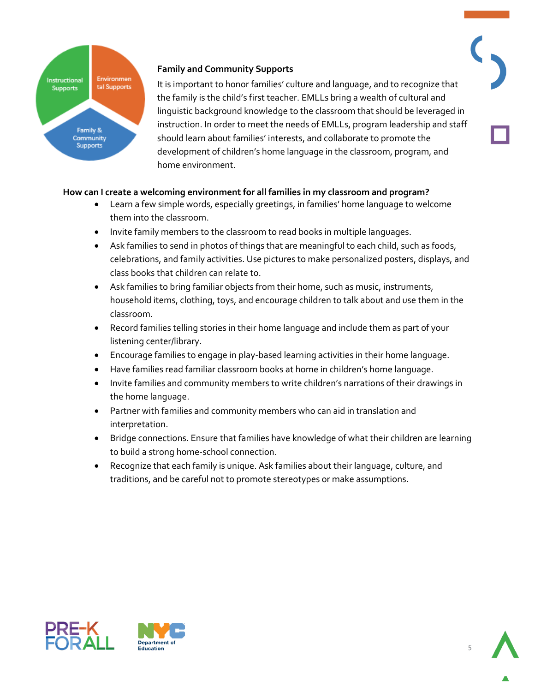

#### **Family and Community Supports**

 It is important to honor families' culture and language, and to recognize that the family is the child's first teacher. EMLLs bring a wealth of cultural and linguistic background knowledge to the classroom that should be leveraged in instruction. In order to meet the needs of EMLLs, program leadership and staff should learn about families' interests, and collaborate to promote the development of children's home language in the classroom, program, and home environment.

#### **How can I create a welcoming environment for all families in my classroom and program?**

- Learn a few simple words, especially greetings, in families' home language to welcome them into the classroom.
- Invite family members to the classroom to read books in multiple languages.
- Ask families to send in photos of things that are meaningful to each child, such as foods, celebrations, and family activities. Use pictures to make personalized posters, displays, and class books that children can relate to.
- Ask families to bring familiar objects from their home, such as music, instruments, household items, clothing, toys, and encourage children to talk about and use them in the classroom.
- Record families telling stories in their home language and include them as part of your listening center/library.
- Encourage families to engage in play-based learning activities in their home language.
- Have families read familiar classroom books at home in children's home language.
- Invite families and community members to write children's narrations of their drawings in the home language.
- Partner with families and community members who can aid in translation and interpretation.
- Bridge connections. Ensure that families have knowledge of what their children are learning to build a strong home-school connection.
- Recognize that each family is unique. Ask families about their language, culture, and traditions, and be careful not to promote stereotypes or make assumptions.



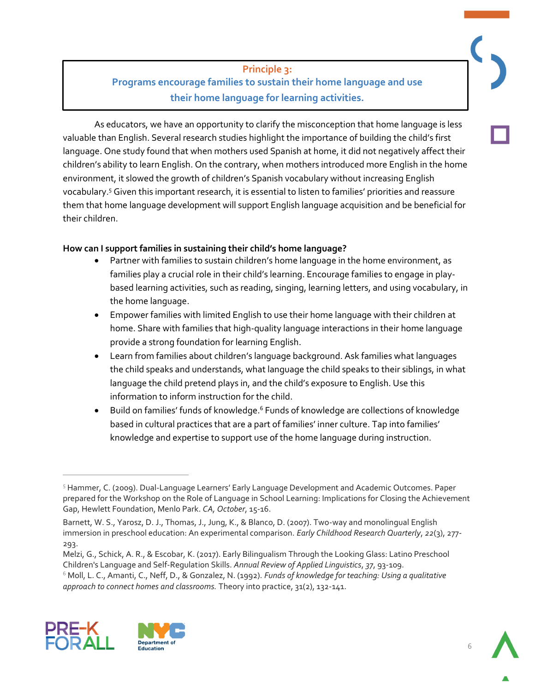#### <span id="page-5-0"></span> **Programs encourage families to sustain their home language and use their home language for learning activities. Principle 3:**

 valuable than English. Several research studies highlight the importance of building the child's first language. One study found that when mothers used Spanish at home, it did not negatively affect their children's ability to learn English. On the contrary, when mothers introduced more English in the home j them that home language development will support English language acquisition and be beneficial for As educators, we have an opportunity to clarify the misconception that home language is less environment, it slowed the growth of children's Spanish vocabulary without increasing English vocabulary.5 Given this important research, it is essential to listen to families' priorities and reassure their children.

#### **How can I support families in sustaining their child's home language?**

- Partner with families to sustain children's home language in the home environment, as based learning activities, such as reading, singing, learning letters, and using vocabulary, in families play a crucial role in their child's learning. Encourage families to engage in playthe home language.
- Empower families with limited English to use their home language with their children at home. Share with families that high-quality language interactions in their home language provide a strong foundation for learning English.
- Learn from families about children's language background. Ask families what languages the child speaks and understands, what language the child speaks to their siblings, in what language the child pretend plays in, and the child's exposure to English. Use this information to inform instruction for the child.
- knowledge and expertise to support use of the home language during instruction. • Build on families' funds of knowledge.<sup>6</sup> Funds of knowledge are collections of knowledge based in cultural practices that are a part of families' inner culture. Tap into families'

 6 Moll, L. C., Amanti, C., Neff, D., & Gonzalez, N. (1992). *Funds of knowledge for teaching: Using a qualitative approach to connect homes and classrooms.* Theory into practice, 31(2), 132-141.



 $\overline{a}$ 



<sup>&</sup>lt;sup>5</sup> Hammer, C. (2009). Dual-Language Learners' Early Language Development and Academic Outcomes. Paper prepared for the Workshop on the Role of Language in School Learning: Implications for Closing the Achievement Gap, Hewlett Foundation, Menlo Park. *CA, October*, 15-16.

Barnett, W. S., Yarosz, D. J., Thomas, J., Jung, K., & Blanco, D. (2007). Two-way and monolingual English immersion in preschool education: An experimental comparison. *Early Childhood Research Quarterly*, *22*(3), 277 293. 1

Melzi, G., Schick, A. R., & Escobar, K. (2017). Early Bilingualism Through the Looking Glass: Latino Preschool Children's Language and Self-Regulation Skills. *Annual Review of Applied Linguistics*, *37*, 93-109.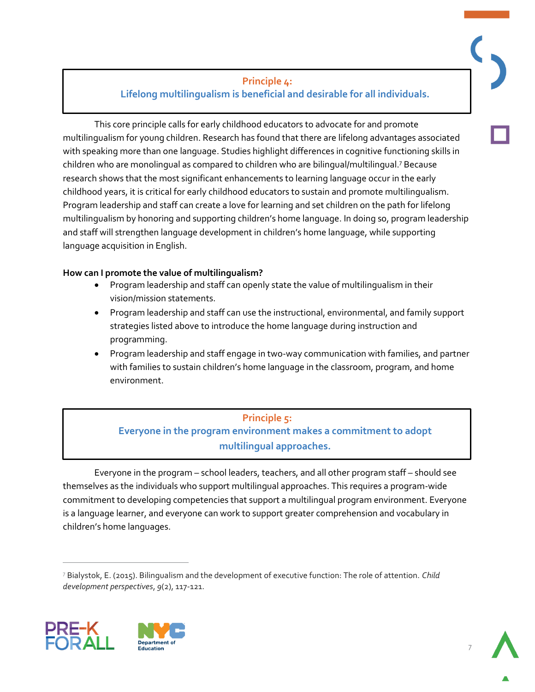#### **Lifelong multilingualism is beneficial and desirable for all individuals. Principle 4:**

<span id="page-6-0"></span>ł children who are monolingual as compared to children who are bilingual/multilingual.7 Because research shows that the most significant enhancements to learning language occur in the early childhood years, it is critical for early childhood educators to sustain and promote multilingualism. language acquisition in English. This core principle calls for early childhood educators to advocate for and promote multilingualism for young children. Research has found that there are lifelong advantages associated with speaking more than one language. Studies highlight differences in cognitive functioning skills in Program leadership and staff can create a love for learning and set children on the path for lifelong multilingualism by honoring and supporting children's home language. In doing so, program leadership and staff will strengthen language development in children's home language, while supporting

#### **How can I promote the value of multilingualism?**

- Program leadership and staff can openly state the value of multilingualism in their vision/mission statements.
- Program leadership and staff can use the instructional, environmental, and family support strategies listed above to introduce the home language during instruction and programming.
- Program leadership and staff engage in two-way communication with families, and partner with families to sustain children's home language in the classroom, program, and home environment.

## **Everyone in the program environment makes a commitment to adopt Principle 5: multilingual approaches.**

<span id="page-6-1"></span>Everyone in the program – school leaders, teachers, and all other program staff – should see themselves as the individuals who support multilingual approaches. This requires a program-wide commitment to developing competencies that support a multilingual program environment. Everyone is a language learner, and everyone can work to support greater comprehension and vocabulary in children's home languages.

 7 Bialystok, E. (2015). Bilingualism and the development of executive function: The role of attention. *Child development perspectives*, *9*(2), 117-121.



 $\overline{a}$ 

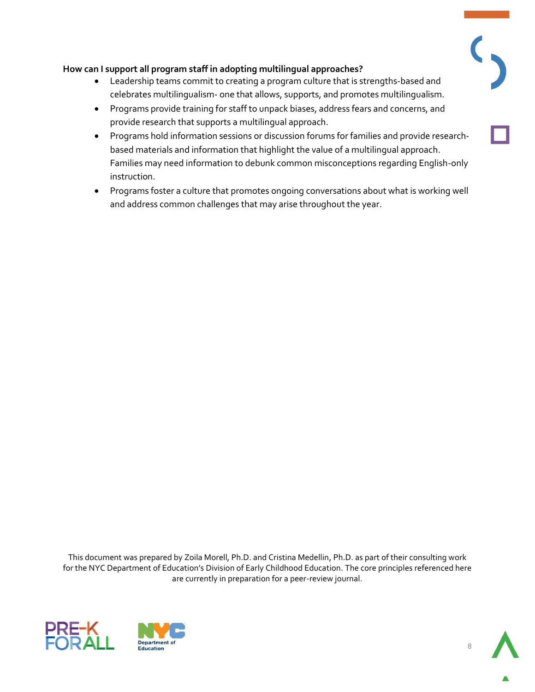#### **How can I support all program staff in adopting multilingual approaches?**

- Leadership teams commit to creating a program culture that is strengths-based and celebrates multilingualism- one that allows, supports, and promotes multilingualism.
- Programs provide training for staff to unpack biases, address fears and concerns, and provide research that supports a multilingual approach.
- Programs hold information sessions or discussion forums for families and provide researchbased materials and information that highlight the value of a multilingual approach. Families may need information to debunk common misconceptions regarding English-only instruction.
- Programs foster a culture that promotes ongoing conversations about what is working well and address common challenges that may arise throughout the year.

 for the NYC Department of Education's Division of Early Childhood Education. The core principles referenced here are currently in preparation for a peer-review journal. This document was prepared by Zoila Morell, Ph.D. and Cristina Medellin, Ph.D. as part of their consulting work





 $\overline{\mathcal{C}}$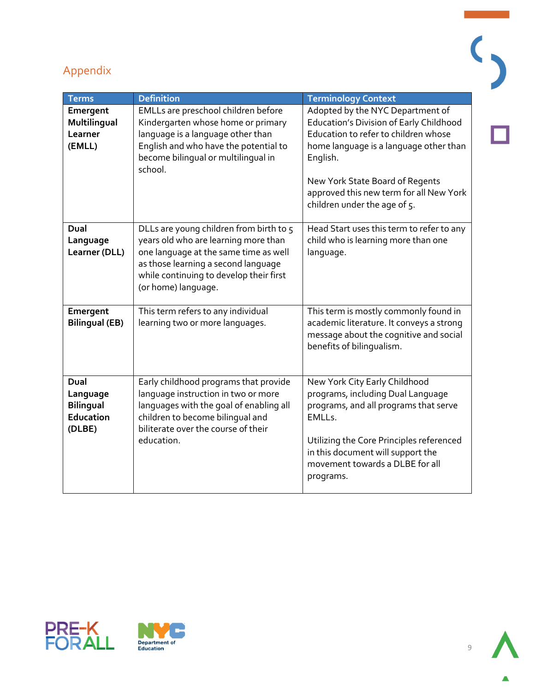

| <b>Terms</b>                                                | <b>Definition</b>                                                                                                                                                                                                                 | <b>Terminology Context</b>                                                                                                                                                                                                                                                                     |
|-------------------------------------------------------------|-----------------------------------------------------------------------------------------------------------------------------------------------------------------------------------------------------------------------------------|------------------------------------------------------------------------------------------------------------------------------------------------------------------------------------------------------------------------------------------------------------------------------------------------|
| Emergent<br>Multilingual<br>Learner<br>(EMLL)               | EMLLs are preschool children before<br>Kindergarten whose home or primary<br>language is a language other than<br>English and who have the potential to<br>become bilingual or multilingual in<br>school.                         | Adopted by the NYC Department of<br><b>Education's Division of Early Childhood</b><br>Education to refer to children whose<br>home language is a language other than<br>English.<br>New York State Board of Regents<br>approved this new term for all New York<br>children under the age of 5. |
| Dual<br>Language<br>Learner (DLL)                           | DLLs are young children from birth to 5<br>years old who are learning more than<br>one language at the same time as well<br>as those learning a second language<br>while continuing to develop their first<br>(or home) language. | Head Start uses this term to refer to any<br>child who is learning more than one<br>language.                                                                                                                                                                                                  |
| Emergent<br><b>Bilingual (EB)</b>                           | This term refers to any individual<br>learning two or more languages.                                                                                                                                                             | This term is mostly commonly found in<br>academic literature. It conveys a strong<br>message about the cognitive and social<br>benefits of bilingualism.                                                                                                                                       |
| Dual<br>Language<br><b>Bilingual</b><br>Education<br>(DLBE) | Early childhood programs that provide<br>language instruction in two or more<br>languages with the goal of enabling all<br>children to become bilingual and<br>biliterate over the course of their<br>education.                  | New York City Early Childhood<br>programs, including Dual Language<br>programs, and all programs that serve<br>EMLLs.<br>Utilizing the Core Principles referenced<br>in this document will support the<br>movement towards a DLBE for all<br>programs.                                         |





 $\overline{\mathbf{C}}$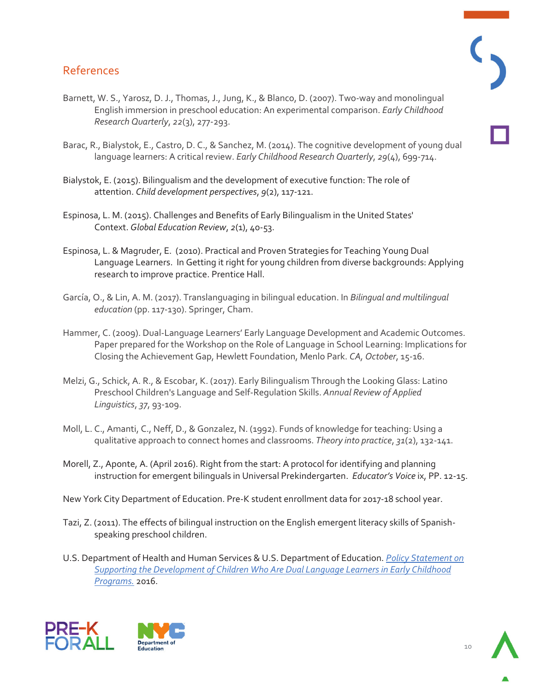## References

- Barnett, W. S., Yarosz, D. J., Thomas, J., Jung, K., & Blanco, D. (2007). Two-way and monolingual English immersion in preschool education: An experimental comparison. *Early Childhood Research Quarterly*, *22*(3), 277-293.
- Barac, R., Bialystok, E., Castro, D. C., & Sanchez, M. (2014). The cognitive development of young dual language learners: A critical review. *Early Childhood Research Quarterly*, *29*(4), 699-714.
- Bialystok, E. (2015). Bilingualism and the development of executive function: The role of attention. *Child development perspectives*, *9*(2), 117-121.
- Espinosa, L. M. (2015). Challenges and Benefits of Early Bilingualism in the United States' Context. *Global Education Review*, *2*(1), 40-53.
- Espinosa, L. & Magruder, E. (2010). Practical and Proven Strategies for Teaching Young Dual Language Learners. In Getting it right for young children from diverse backgrounds: Applying research to improve practice. Prentice Hall.
- García, O., & Lin, A. M. (2017). Translanguaging in bilingual education. In *Bilingual and multilingual education* (pp. 117-130). Springer, Cham.
- Hammer, C. (2009). Dual-Language Learners' Early Language Development and Academic Outcomes. Paper prepared for the Workshop on the Role of Language in School Learning: Implications for Closing the Achievement Gap, Hewlett Foundation, Menlo Park. *CA, October*, 15-16.
- Melzi, G., Schick, A. R., & Escobar, K. (2017). Early Bilingualism Through the Looking Glass: Latino Preschool Children's Language and Self-Regulation Skills. *Annual Review of Applied Linguistics*, *37*, 93-109.
- Moll, L. C., Amanti, C., Neff, D., & Gonzalez, N. (1992). Funds of knowledge for teaching: Using a qualitative approach to connect homes and classrooms. *Theory into practice*, *31*(2), 132-141.
- Morell, Z., Aponte, A. (April 2016). Right from the start: A protocol for identifying and planning instruction for emergent bilinguals in Universal Prekindergarten. *Educator's Voice* ix, PP. 12-15.
- New York City Department of Education. Pre-K student enrollment data for 2017-18 school year.
- Tazi, Z. (2011). The effects of bilingual instruction on the English emergent literacy skills of Spanishspeaking preschool children.
- U.S. Department of Health and Human Services & U.S. Department of Education. *[Policy Statement on](https://eclkc.ohs.acf.hhs.gov/sites/default/files/pdf/dll-policy-statement-final.pdf)  [Supporting the Development of Children Who Are Dual Language Learners in Early Childhood](https://eclkc.ohs.acf.hhs.gov/sites/default/files/pdf/dll-policy-statement-final.pdf)  [Programs.](https://eclkc.ohs.acf.hhs.gov/sites/default/files/pdf/dll-policy-statement-final.pdf)* 2016.